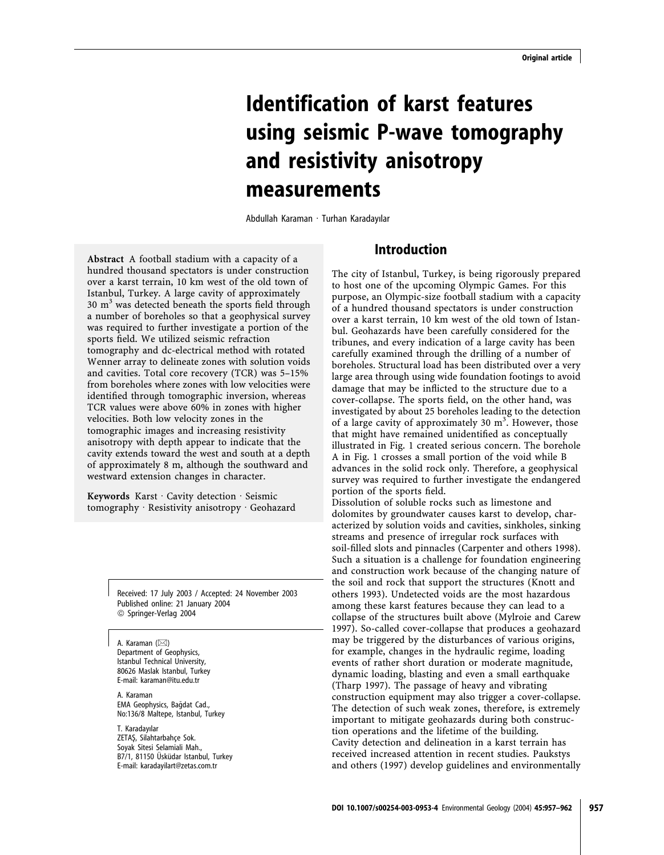# Identification of karst features using seismic P-wave tomography and resistivity anisotropy measurements

Abdullah Karaman · Turhan Karadayılar

Abstract A football stadium with a capacity of a hundred thousand spectators is under construction over a karst terrain, 10 km west of the old town of Istanbul, Turkey. A large cavity of approximately  $30 \text{ m}^3$  was detected beneath the sports field through a number of boreholes so that a geophysical survey was required to further investigate a portion of the sports field. We utilized seismic refraction tomography and dc-electrical method with rotated Wenner array to delineate zones with solution voids and cavities. Total core recovery (TCR) was 5–15% from boreholes where zones with low velocities were identified through tomographic inversion, whereas TCR values were above 60% in zones with higher velocities. Both low velocity zones in the tomographic images and increasing resistivity anisotropy with depth appear to indicate that the cavity extends toward the west and south at a depth of approximately 8 m, although the southward and westward extension changes in character.

Keywords Karst  $\cdot$  Cavity detection  $\cdot$  Seismic tomography  $\cdot$  Resistivity anisotropy  $\cdot$  Geohazard

> Received: 17 July 2003 / Accepted: 24 November 2003 Published online: 21 January 2004 ª Springer-Verlag 2004

A. Karaman  $(\boxtimes)$ Department of Geophysics, Istanbul Technical University, 80626 Maslak Istanbul, Turkey E-mail: karaman@itu.edu.tr

A. Karaman EMA Geophysics, Bağdat Cad., No:136/8 Maltepe, Istanbul, Turkey

T. Karadayılar ZETAŞ, Silahtarbahçe Sok. Soyak Sitesi Selamiali Mah., B7/1, 81150 Üsküdar Istanbul, Turkey E-mail: karadayilart@zetas.com.tr

# Introduction

The city of Istanbul, Turkey, is being rigorously prepared to host one of the upcoming Olympic Games. For this purpose, an Olympic-size football stadium with a capacity of a hundred thousand spectators is under construction over a karst terrain, 10 km west of the old town of Istanbul. Geohazards have been carefully considered for the tribunes, and every indication of a large cavity has been carefully examined through the drilling of a number of boreholes. Structural load has been distributed over a very large area through using wide foundation footings to avoid damage that may be inflicted to the structure due to a cover-collapse. The sports field, on the other hand, was investigated by about 25 boreholes leading to the detection of a large cavity of approximately 30  $m^3$ . However, those that might have remained unidentified as conceptually illustrated in Fig. 1 created serious concern. The borehole A in Fig. 1 crosses a small portion of the void while B advances in the solid rock only. Therefore, a geophysical survey was required to further investigate the endangered portion of the sports field.

Dissolution of soluble rocks such as limestone and dolomites by groundwater causes karst to develop, characterized by solution voids and cavities, sinkholes, sinking streams and presence of irregular rock surfaces with soil-filled slots and pinnacles (Carpenter and others 1998). Such a situation is a challenge for foundation engineering and construction work because of the changing nature of the soil and rock that support the structures (Knott and others 1993). Undetected voids are the most hazardous among these karst features because they can lead to a collapse of the structures built above (Mylroie and Carew 1997). So-called cover-collapse that produces a geohazard may be triggered by the disturbances of various origins, for example, changes in the hydraulic regime, loading events of rather short duration or moderate magnitude, dynamic loading, blasting and even a small earthquake (Tharp 1997). The passage of heavy and vibrating construction equipment may also trigger a cover-collapse. The detection of such weak zones, therefore, is extremely important to mitigate geohazards during both construction operations and the lifetime of the building. Cavity detection and delineation in a karst terrain has received increased attention in recent studies. Paukstys and others (1997) develop guidelines and environmentally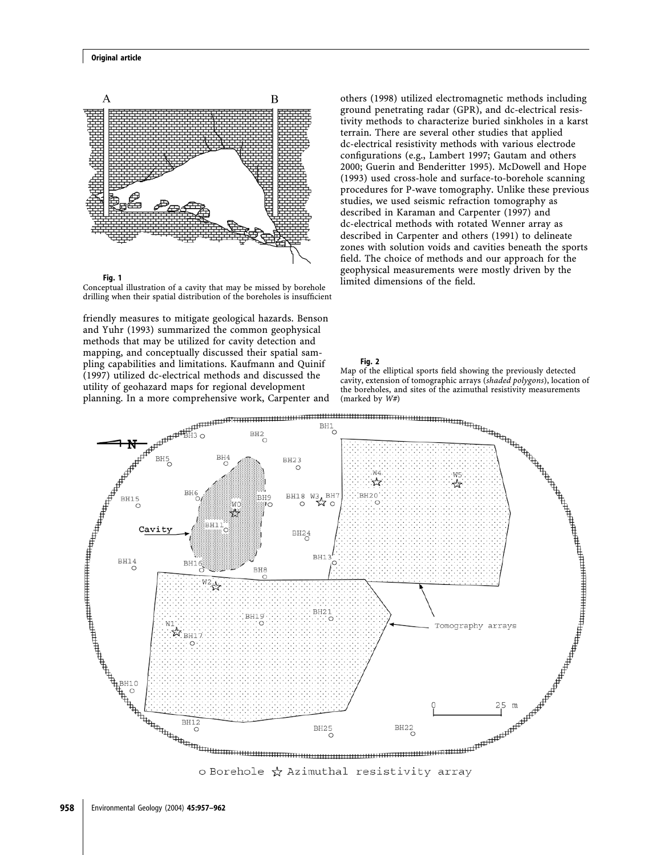#### Original article



Fig. 1

Conceptual illustration of a cavity that may be missed by borehole drilling when their spatial distribution of the boreholes is insufficient

friendly measures to mitigate geological hazards. Benson and Yuhr (1993) summarized the common geophysical methods that may be utilized for cavity detection and mapping, and conceptually discussed their spatial sampling capabilities and limitations. Kaufmann and Quinif (1997) utilized dc-electrical methods and discussed the utility of geohazard maps for regional development planning. In a more comprehensive work, Carpenter and (marked by W#)

others (1998) utilized electromagnetic methods including ground penetrating radar (GPR), and dc-electrical resistivity methods to characterize buried sinkholes in a karst terrain. There are several other studies that applied dc-electrical resistivity methods with various electrode configurations (e.g., Lambert 1997; Gautam and others 2000; Guerin and Benderitter 1995). McDowell and Hope (1993) used cross-hole and surface-to-borehole scanning procedures for P-wave tomography. Unlike these previous studies, we used seismic refraction tomography as described in Karaman and Carpenter (1997) and dc-electrical methods with rotated Wenner array as described in Carpenter and others (1991) to delineate zones with solution voids and cavities beneath the sports field. The choice of methods and our approach for the geophysical measurements were mostly driven by the limited dimensions of the field.

#### Fig. 2





o Borehole  $\frac{1}{N}$  Azimuthal resistivity array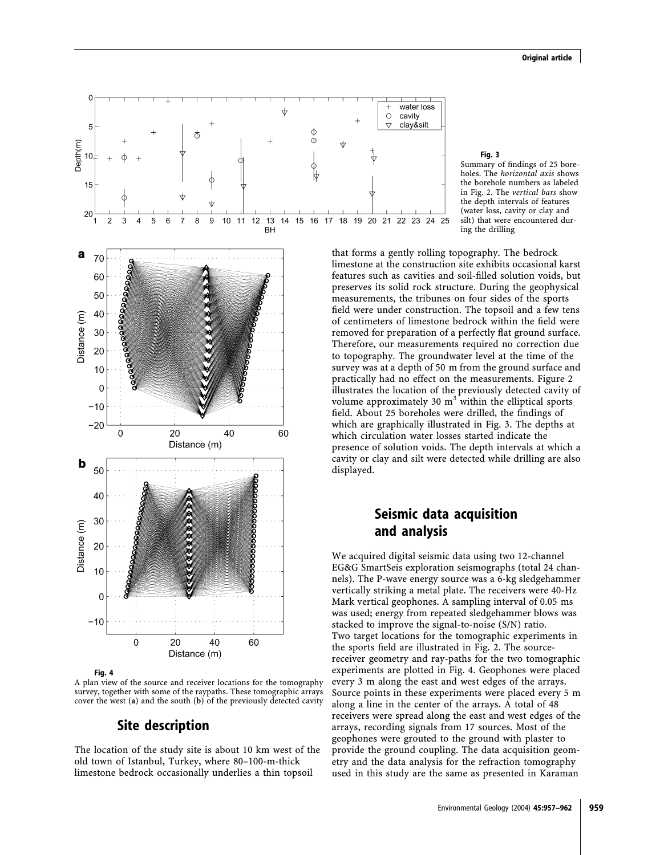

Fig. 4

A plan view of the source and receiver locations for the tomography survey, together with some of the raypaths. These tomographic arrays cover the west (a) and the south (b) of the previously detected cavity

# Site description

The location of the study site is about 10 km west of the old town of Istanbul, Turkey, where 80–100-m-thick limestone bedrock occasionally underlies a thin topsoil



Summary of findings of 25 boreholes. The horizontal axis shows the borehole numbers as labeled in Fig. 2. The vertical bars show the depth intervals of features (water loss, cavity or clay and silt) that were encountered during the drilling

that forms a gently rolling topography. The bedrock limestone at the construction site exhibits occasional karst features such as cavities and soil-filled solution voids, but preserves its solid rock structure. During the geophysical measurements, the tribunes on four sides of the sports field were under construction. The topsoil and a few tens of centimeters of limestone bedrock within the field were removed for preparation of a perfectly flat ground surface. Therefore, our measurements required no correction due to topography. The groundwater level at the time of the survey was at a depth of 50 m from the ground surface and practically had no effect on the measurements. Figure 2 illustrates the location of the previously detected cavity of volume approximately 30  $m<sup>3</sup>$  within the elliptical sports field. About 25 boreholes were drilled, the findings of which are graphically illustrated in Fig. 3. The depths at which circulation water losses started indicate the presence of solution voids. The depth intervals at which a cavity or clay and silt were detected while drilling are also

24 25

# Seismic data acquisition and analysis

We acquired digital seismic data using two 12-channel EG&G SmartSeis exploration seismographs (total 24 channels). The P-wave energy source was a 6-kg sledgehammer vertically striking a metal plate. The receivers were 40-Hz Mark vertical geophones. A sampling interval of 0.05 ms was used; energy from repeated sledgehammer blows was stacked to improve the signal-to-noise (S/N) ratio. Two target locations for the tomographic experiments in the sports field are illustrated in Fig. 2. The sourcereceiver geometry and ray-paths for the two tomographic experiments are plotted in Fig. 4. Geophones were placed every 3 m along the east and west edges of the arrays. Source points in these experiments were placed every 5 m along a line in the center of the arrays. A total of 48 receivers were spread along the east and west edges of the arrays, recording signals from 17 sources. Most of the geophones were grouted to the ground with plaster to provide the ground coupling. The data acquisition geometry and the data analysis for the refraction tomography used in this study are the same as presented in Karaman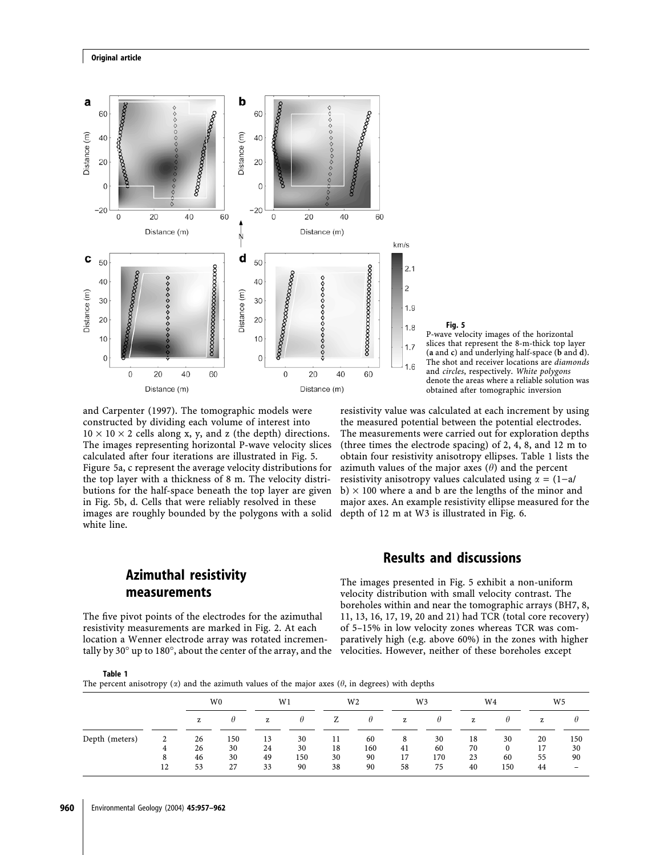



P-wave velocity images of the horizontal slices that represent the 8-m-thick top layer (a and  $c$ ) and underlying half-space ( $b$  and  $d$ ). The shot and receiver locations are diamonds and circles, respectively. White polygons denote the areas where a reliable solution was obtained after tomographic inversion

and Carpenter (1997). The tomographic models were constructed by dividing each volume of interest into  $10 \times 10 \times 2$  cells along x, y, and z (the depth) directions. The images representing horizontal P-wave velocity slices calculated after four iterations are illustrated in Fig. 5. Figure 5a, c represent the average velocity distributions for the top layer with a thickness of 8 m. The velocity distributions for the half-space beneath the top layer are given in Fig. 5b, d. Cells that were reliably resolved in these images are roughly bounded by the polygons with a solid white line.

resistivity value was calculated at each increment by using the measured potential between the potential electrodes. The measurements were carried out for exploration depths (three times the electrode spacing) of 2, 4, 8, and 12 m to obtain four resistivity anisotropy ellipses. Table 1 lists the azimuth values of the major axes  $(\theta)$  and the percent resistivity anisotropy values calculated using  $\alpha = (1-a)/a$  $b) \times 100$  where a and b are the lengths of the minor and major axes. An example resistivity ellipse measured for the depth of 12 m at W3 is illustrated in Fig. 6.

# Azimuthal resistivity measurements

The five pivot points of the electrodes for the azimuthal resistivity measurements are marked in Fig. 2. At each location a Wenner electrode array was rotated incrementally by 30 $^{\circ}$  up to 180 $^{\circ}$ , about the center of the array, and the

## Results and discussions

The images presented in Fig. 5 exhibit a non-uniform velocity distribution with small velocity contrast. The boreholes within and near the tomographic arrays (BH7, 8, 11, 13, 16, 17, 19, 20 and 21) had TCR (total core recovery) of 5–15% in low velocity zones whereas TCR was comparatively high (e.g. above 60%) in the zones with higher velocities. However, neither of these boreholes except

|--|--|

The percent anisotropy  $(x)$  and the azimuth values of the major axes  $(\theta)$ , in degrees) with depths

|   | W <sub>0</sub> |     | W1 |     | W <sub>2</sub> |    | W3  |          | W <sub>4</sub> |          | W <sub>5</sub> |                                                                             |
|---|----------------|-----|----|-----|----------------|----|-----|----------|----------------|----------|----------------|-----------------------------------------------------------------------------|
|   | z              | H   | z  | Ħ   | Z              | θ  | z   | $\theta$ | z              | $\theta$ | z              |                                                                             |
|   | 26             | 150 | 13 | 30  | 11             | 60 | 8   | 30       | 18             | 30       | 20             | 150                                                                         |
| 8 | 46             | 30  | 49 | 150 | 30             | 90 | 17  | 170      | 23             | 60       | 55             | 30<br>90                                                                    |
|   | 4              | 26  | 30 | 24  | 30             | 18 | 160 | 41       | 60             | 70       | 0              | 17<br>38<br>90<br>27<br>33<br>58<br>75<br>12<br>90<br>150<br>53<br>40<br>44 |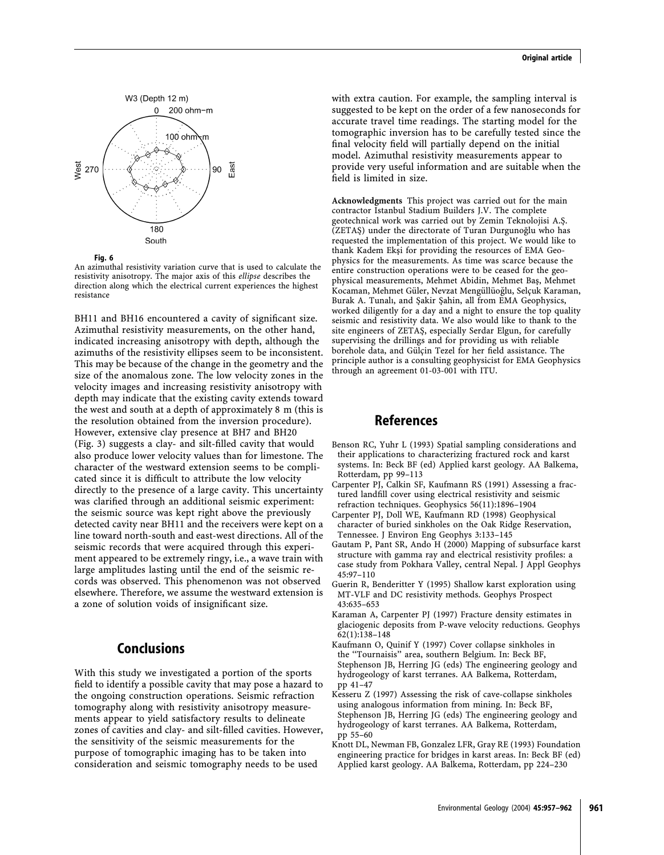

Fig. 6

An azimuthal resistivity variation curve that is used to calculate the resistivity anisotropy. The major axis of this ellipse describes the direction along which the electrical current experiences the highest resistance

BH11 and BH16 encountered a cavity of significant size. Azimuthal resistivity measurements, on the other hand, indicated increasing anisotropy with depth, although the azimuths of the resistivity ellipses seem to be inconsistent. This may be because of the change in the geometry and the size of the anomalous zone. The low velocity zones in the velocity images and increasing resistivity anisotropy with depth may indicate that the existing cavity extends toward the west and south at a depth of approximately 8 m (this is the resolution obtained from the inversion procedure). However, extensive clay presence at BH7 and BH20 (Fig. 3) suggests a clay- and silt-filled cavity that would also produce lower velocity values than for limestone. The character of the westward extension seems to be complicated since it is difficult to attribute the low velocity directly to the presence of a large cavity. This uncertainty was clarified through an additional seismic experiment: the seismic source was kept right above the previously detected cavity near BH11 and the receivers were kept on a line toward north-south and east-west directions. All of the seismic records that were acquired through this experiment appeared to be extremely ringy, i.e., a wave train with large amplitudes lasting until the end of the seismic records was observed. This phenomenon was not observed elsewhere. Therefore, we assume the westward extension is a zone of solution voids of insignificant size.

## Conclusions

With this study we investigated a portion of the sports field to identify a possible cavity that may pose a hazard to the ongoing construction operations. Seismic refraction tomography along with resistivity anisotropy measurements appear to yield satisfactory results to delineate zones of cavities and clay- and silt-filled cavities. However, the sensitivity of the seismic measurements for the purpose of tomographic imaging has to be taken into consideration and seismic tomography needs to be used

with extra caution. For example, the sampling interval is suggested to be kept on the order of a few nanoseconds for accurate travel time readings. The starting model for the tomographic inversion has to be carefully tested since the final velocity field will partially depend on the initial model. Azimuthal resistivity measurements appear to provide very useful information and are suitable when the field is limited in size.

Acknowledgments This project was carried out for the main contractor Istanbul Stadium Builders J.V. The complete geotechnical work was carried out by Zemin Teknolojisi A.S¸. (ZETAŞ) under the directorate of Turan Durgunoğlu who has requested the implementation of this project. We would like to thank Kadem Ekşi for providing the resources of EMA Geophysics for the measurements. As time was scarce because the entire construction operations were to be ceased for the geophysical measurements, Mehmet Abidin, Mehmet Bas¸, Mehmet Kocaman, Mehmet Güler, Nevzat Mengüllüoğlu, Selçuk Karaman, Burak A. Tunalı, and Şakir Şahin, all from EMA Geophysics, worked diligently for a day and a night to ensure the top quality seismic and resistivity data. We also would like to thank to the site engineers of ZETAS¸, especially Serdar Elgun, for carefully supervising the drillings and for providing us with reliable borehole data, and Gülçin Tezel for her field assistance. The principle author is a consulting geophysicist for EMA Geophysics through an agreement 01-03-001 with ITU.

## References

- Benson RC, Yuhr L (1993) Spatial sampling considerations and their applications to characterizing fractured rock and karst systems. In: Beck BF (ed) Applied karst geology. AA Balkema, Rotterdam, pp 99–113
- Carpenter PJ, Calkin SF, Kaufmann RS (1991) Assessing a fractured landfill cover using electrical resistivity and seismic refraction techniques. Geophysics 56(11):1896–1904
- Carpenter PJ, Doll WE, Kaufmann RD (1998) Geophysical character of buried sinkholes on the Oak Ridge Reservation, Tennessee. J Environ Eng Geophys 3:133–145
- Gautam P, Pant SR, Ando H (2000) Mapping of subsurface karst structure with gamma ray and electrical resistivity profiles: a case study from Pokhara Valley, central Nepal. J Appl Geophys 45:97–110
- Guerin R, Benderitter Y (1995) Shallow karst exploration using MT-VLF and DC resistivity methods. Geophys Prospect 43:635–653
- Karaman A, Carpenter PJ (1997) Fracture density estimates in glaciogenic deposits from P-wave velocity reductions. Geophys 62(1):138–148
- Kaufmann O, Quinif Y (1997) Cover collapse sinkholes in the ''Tournaisis'' area, southern Belgium. In: Beck BF, Stephenson JB, Herring JG (eds) The engineering geology and hydrogeology of karst terranes. AA Balkema, Rotterdam, pp 41–47
- Kesseru Z (1997) Assessing the risk of cave-collapse sinkholes using analogous information from mining. In: Beck BF, Stephenson JB, Herring JG (eds) The engineering geology and hydrogeology of karst terranes. AA Balkema, Rotterdam, pp 55–60
- Knott DL, Newman FB, Gonzalez LFR, Gray RE (1993) Foundation engineering practice for bridges in karst areas. In: Beck BF (ed) Applied karst geology. AA Balkema, Rotterdam, pp 224–230